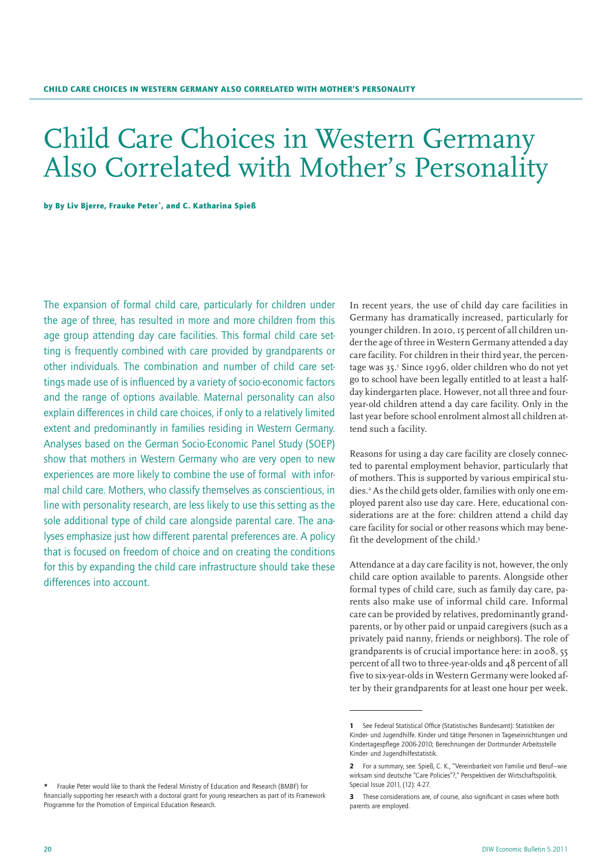# Child Care Choices in Western Germany Also Correlated with Mother's Personality

by By Liv Bjerre, Frauke Peter', and C. Katharina Spieß

The expansion of formal child care, particularly for children under the age of three, has resulted in more and more children from this age group attending day care facilities. This formal child care setting is frequently combined with care provided by grandparents or other individuals. The combination and number of child care settings made use of is influenced by a variety of socio-economic factors and the range of options available. Maternal personality can also explain differences in child care choices, if only to a relatively limited extent and predominantly in families residing in Western Germany. Analyses based on the German Socio-Economic Panel Study (SOEP) show that mothers in Western Germany who are very open to new experiences are more likely to combine the use of formal with informal child care. Mothers, who classify themselves as conscientious, in line with personality research, are less likely to use this setting as the sole additional type of child care alongside parental care. The analyses emphasize just how different parental preferences are. A policy that is focused on freedom of choice and on creating the conditions for this by expanding the child care infrastructure should take these differences into account.

In recent years, the use of child day care facilities in Germany has dramatically increased, particularly for younger children. In 2010, 15 percent of all children under the age of three in Western Germany attended a day care facility. For children in their third year, the percentage was 35.1 Since 1996, older children who do not yet go to school have been legally entitled to at least a halfday kindergarten place. However, not all three and fouryear-old children attend a day care facility. Only in the last year before school enrolment almost all children attend such a facility.

Reasons for using a day care facility are closely connected to parental employment behavior, particularly that of mothers. This is supported by various empirical studies.<sup>2</sup> As the child gets older, families with only one employed parent also use day care. Here, educational considerations are at the fore: children attend a child day care facility for social or other reasons which may benefit the development of the child.<sup>3</sup>

Attendance at a day care facility is not, however, the only child care option available to parents. Alongside other formal types of child care, such as family day care, parents also make use of informal child care. Informal care can be provided by relatives, predominantly grandparents, or by other paid or unpaid caregivers (such as a privately paid nanny, friends or neighbors). The role of grandparents is of crucial importance here: in 2008, 55 percent of all two to three-year-olds and 48 percent of all five to six-year-olds in Western Germany were looked after by their grandparents for at least one hour per week.

<sup>1</sup> See Federal Statistical Office (Statistisches Bundesamt): Statistiken der Kinder- und Jugendhilfe. Kinder und tätige Personen in Tageseinrichtungen und Kindertagespflege 2006-2010; Berechnungen der Dortmunder Arbeitsstelle Kinder- und Jugendhilfestatistik.

<sup>2</sup> For a summary, see: Spieß, C. K., "Vereinbarkeit von Familie und Beruf—wie wirksam sind deutsche "Care Policies"?," Perspektiven der Wirtschaftspolitik. Special Issue 2011, (12): 4-27.

<sup>3</sup> These considerations are, of course, also significant in cases where both parents are employed.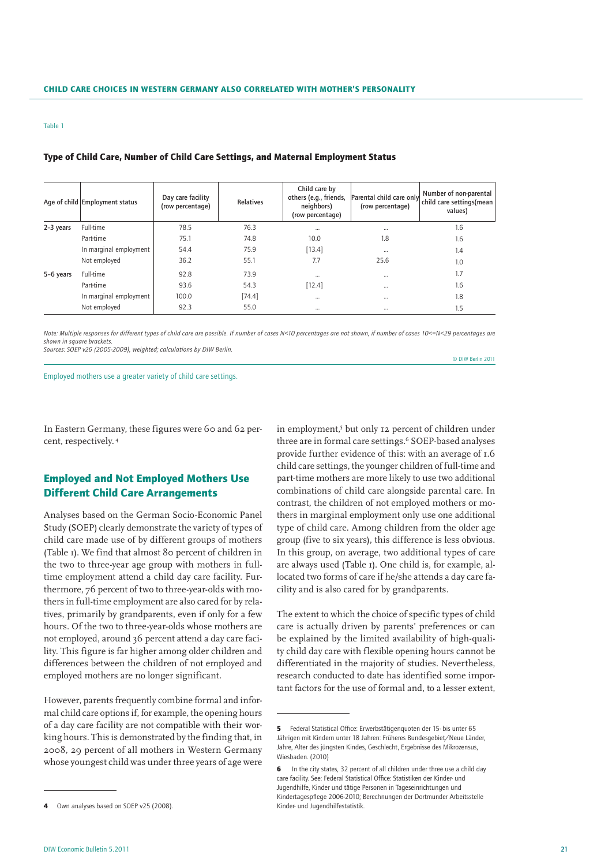#### Table 1

|           | Age of child Employment status | Day care facility<br>(row percentage) | <b>Relatives</b> | Child care by<br>others (e.g., friends,<br>neighbors)<br>(row percentage) | Parental child care only<br>(row percentage) | Number of non-parental<br>child care settings(mean<br>values) |
|-----------|--------------------------------|---------------------------------------|------------------|---------------------------------------------------------------------------|----------------------------------------------|---------------------------------------------------------------|
| 2-3 years | <b>Full-time</b>               | 78.5                                  | 76.3             | $\cdots$                                                                  | $\cdots$                                     | 1.6                                                           |
|           | Part-time                      | 75.1                                  | 74.8             | 10.0                                                                      | 1.8                                          | 1.6                                                           |
|           | In marginal employment         | 54.4                                  | 75.9             | [13.4]                                                                    | $\cdots$                                     | 1.4                                                           |
|           | Not employed                   | 36.2                                  | 55.1             | 7.7                                                                       | 25.6                                         | 1.0                                                           |
| 5-6 years | <b>Full-time</b>               | 92.8                                  | 73.9             | $\cdots$                                                                  | $\cdots$                                     | 1.7                                                           |
|           | Part-time                      | 93.6                                  | 54.3             | [12.4]                                                                    | $\cdots$                                     | 1.6                                                           |
|           | In marginal employment         | 100.0                                 | [74.4]           | $\cdots$                                                                  | $\cdots$                                     | 1.8                                                           |
|           | Not employed                   | 92.3                                  | 55.0             | $\cdots$                                                                  | $\cdots$                                     | 1.5                                                           |

## Type of Child Care, Number of Child Care Settings, and Maternal Employment Status

*Note: Multiple responses for different types of child care are possible. If number of cases N<10 percentages are not shown, if number of cases 10<=N<29 percentages are shown in square brackets.*

*Sources: SOEP v26 (2005-2009), weighted; calculations by DIW Berlin.*

Employed mothers use a greater variety of child care settings.

In Eastern Germany, these figures were 60 and 62 percent, respectively. 4

# Employed and Not Employed Mothers Use Different Child Care Arrangements

Analyses based on the German Socio-Economic Panel Study (SOEP) clearly demonstrate the variety of types of child care made use of by different groups of mothers (Table 1). We find that almost 80 percent of children in the two to three-year age group with mothers in fulltime employment attend a child day care facility. Furthermore, 76 percent of two to three-year-olds with mothers in full-time employment are also cared for by relatives, primarily by grandparents, even if only for a few hours. Of the two to three-year-olds whose mothers are not employed, around 36 percent attend a day care facility. This figure is far higher among older children and differences between the children of not employed and employed mothers are no longer significant.

However, parents frequently combine formal and informal child care options if, for example, the opening hours of a day care facility are not compatible with their working hours. This is demonstrated by the finding that, in 2008, 29 percent of all mothers in Western Germany whose youngest child was under three years of age were

in employment,5 but only 12 percent of children under three are in formal care settings.<sup>6</sup> SOEP-based analyses provide further evidence of this: with an average of 1.6 child care settings, the younger children of full-time and part-time mothers are more likely to use two additional combinations of child care alongside parental care. In contrast, the children of not employed mothers or mothers in marginal employment only use one additional type of child care. Among children from the older age group (five to six years), this difference is less obvious. In this group, on average, two additional types of care are always used (Table 1). One child is, for example, allocated two forms of care if he/she attends a day care facility and is also cared for by grandparents.

© DIW Berlin 2011

The extent to which the choice of specific types of child care is actually driven by parents' preferences or can be explained by the limited availability of high-quality child day care with flexible opening hours cannot be differentiated in the majority of studies. Nevertheless, research conducted to date has identified some important factors for the use of formal and, to a lesser extent,

Own analyses based on SOEP v25 (2008).

<sup>5</sup> Federal Statistical Office: Erwerbstätigenquoten der 15- bis unter 65 Jährigen mit Kindern unter 18 Jahren: Früheres Bundesgebiet/Neue Länder, Jahre, Alter des jüngsten Kindes, Geschlecht, Ergebnisse des Mikrozensus, Wiesbaden. (2010)

<sup>6</sup> In the city states, 32 percent of all children under three use a child day care facility. See: Federal Statistical Office: Statistiken der Kinder- und Jugendhilfe, Kinder und tätige Personen in Tageseinrichtungen und Kindertagespflege 2006-2010; Berechnungen der Dortmunder Arbeitsstelle Kinder- und Jugendhilfestatistik.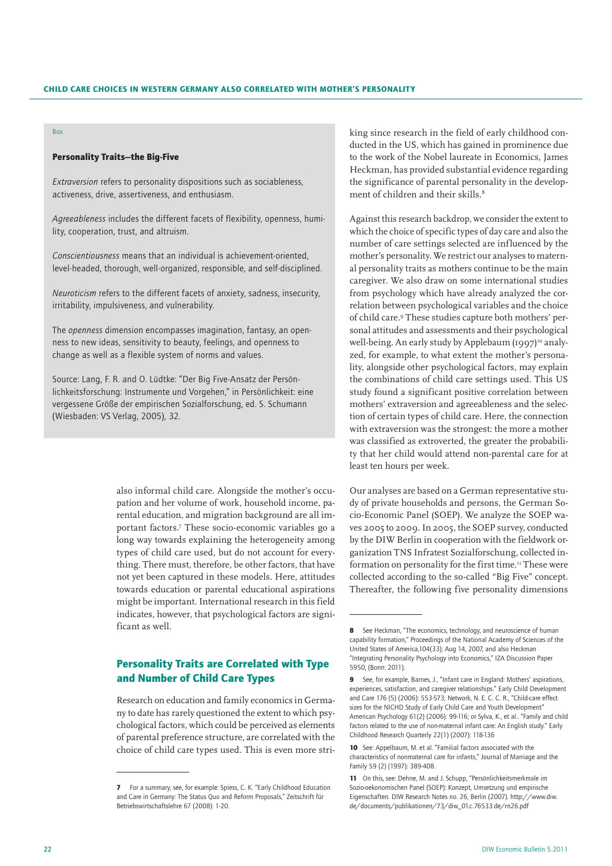## Box

## Personality Traits—the Big-Five

*Extraversion* refers to personality dispositions such as sociableness, activeness, drive, assertiveness, and enthusiasm.

*Agreeableness* includes the different facets of flexibility, openness, humility, cooperation, trust, and altruism.

*Conscientiousness* means that an individual is achievement-oriented, level-headed, thorough, well-organized, responsible, and self-disciplined.

*Neuroticism* refers to the different facets of anxiety, sadness, insecurity, irritability, impulsiveness, and vulnerability.

The *openness* dimension encompasses imagination, fantasy, an openness to new ideas, sensitivity to beauty, feelings, and openness to change as well as a flexible system of norms and values.

Source: Lang, F. R. and O. Lüdtke: "Der Big Five-Ansatz der Persönlichkeitsforschung: Instrumente und Vorgehen," in Persönlichkeit: eine vergessene Größe der empirischen Sozialforschung, ed. S. Schumann (Wiesbaden: VS Verlag, 2005), 32.

> also informal child care. Alongside the mother's occupation and her volume of work, household income, parental education, and migration background are all important factors.7 These socio-economic variables go a long way towards explaining the heterogeneity among types of child care used, but do not account for everything. There must, therefore, be other factors, that have not yet been captured in these models. Here, attitudes towards education or parental educational aspirations might be important. International research in this field indicates, however, that psychological factors are significant as well.

# Personality Traits are Correlated with Type and Number of Child Care Types

Research on education and family economics in Germany to date has rarely questioned the extent to which psychological factors, which could be perceived as elements of parental preference structure, are correlated with the choice of child care types used. This is even more stri-

king since research in the field of early childhood conducted in the US, which has gained in prominence due to the work of the Nobel laureate in Economics, James Heckman, has provided substantial evidence regarding the significance of parental personality in the development of children and their skills.<sup>8</sup>

Against this research backdrop, we consider the extent to which the choice of specific types of day care and also the number of care settings selected are influenced by the mother's personality. We restrict our analyses to maternal personality traits as mothers continue to be the main caregiver. We also draw on some international studies from psychology which have already analyzed the correlation between psychological variables and the choice of child care.9 These studies capture both mothers' personal attitudes and assessments and their psychological well-being. An early study by Applebaum (1997)<sup>10</sup> analyzed, for example, to what extent the mother's personality, alongside other psychological factors, may explain the combinations of child care settings used. This US study found a significant positive correlation between mothers' extraversion and agreeableness and the selection of certain types of child care. Here, the connection with extraversion was the strongest: the more a mother was classified as extroverted, the greater the probability that her child would attend non-parental care for at least ten hours per week.

Our analyses are based on a German representative study of private households and persons, the German Socio-Economic Panel (SOEP). We analyze the SOEP waves 2005 to 2009. In 2005, the SOEP survey, conducted by the DIW Berlin in cooperation with the fieldwork organization TNS Infratest Sozialforschung, collected information on personality for the first time.<sup>11</sup> These were collected according to the so-called "Big Five" concept. Thereafter, the following five personality dimensions

<sup>7</sup> For a summary, see, for example: Spiess, C. K. "Early Childhood Education and Care in Germany: The Status Quo and Reform Proposals," Zeitschrift für Betriebswirtschaftslehre 67 (2008): 1-20.

<sup>8</sup> See Heckman, "The economics, technology, and neuroscience of human capability formation," Proceedings of the National Academy of Sciences of the United States of America,104(33); Aug 14, 2007, and also Heckman "Integrating Personality Psychology into Economics," IZA Discussion Paper 5950, (Bonn: 2011).

<sup>9</sup> See, for example, Barnes, J., "Infant care in England: Mothers' aspirations, experiences, satisfaction, and caregiver relationships." Early Child Development and Care 176 (5) (2006): 553-573; Network, N. E. C. C. R., "Child-care effect sizes for the NICHD Study of Early Child Care and Youth Development" American Psychology 61(2) (2006): 99-116; or Sylva, K., et al.. "Family and child factors related to the use of non-maternal infant care: An English study." Early Childhood Research Quarterly 22(1) (2007): 118-136

<sup>10</sup> See: Appelbaum, M. et al. "Familial factors associated with the characteristics of nonmaternal care for infants," Journal of Marriage and the Family 59 (2) (1997): 389-408.

<sup>11</sup> On this, see: Dehne, M. and J. Schupp, "Persönlichkeitsmerkmale im Sozio-oekonomischen Panel (SOEP): Konzept, Umsetzung und empirische Eigenschaften. DIW Research Notes no. 26, Berlin (2007). http://www.diw. de/documents/publikationen/73/diw\_01.c.76533.de/rn26.pdf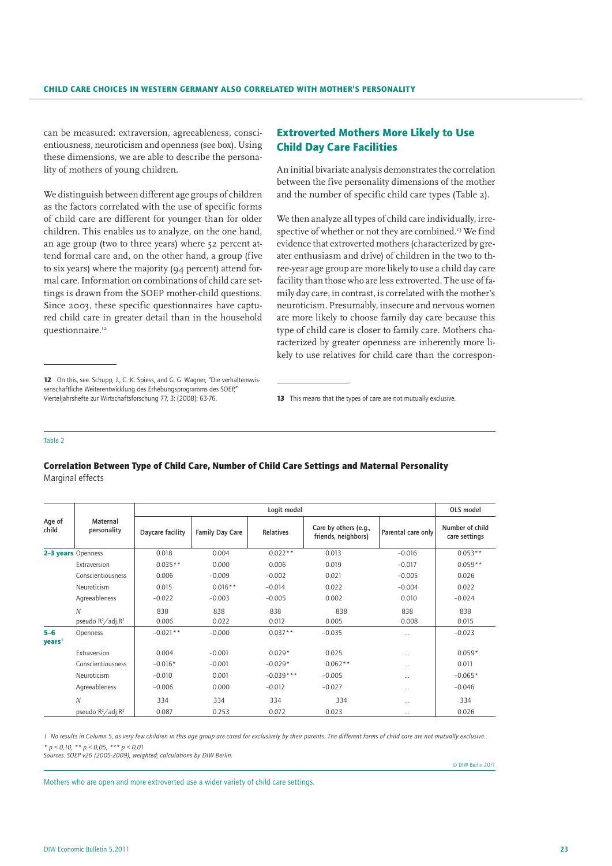can be measured: extraversion, agreeableness, conscientiousness, neuroticism and openness (see box). Using these dimensions, we are able to describe the personality of mothers of young children.

We distinguish between different age groups of children as the factors correlated with the use of specific forms of child care are different for younger than for older children. This enables us to analyze, on the one hand, an age group (two to three years) where 52 percent attend formal care and, on the other hand, a group (five to six years) where the majority (94 percent) attend formal care. Information on combinations of child care settings is drawn from the SOEP mother-child questions. Since 2003, these specific questionnaires have captured child care in greater detail than in the household questionnaire.<sup>12</sup>

# Extroverted Mothers More Likely to Use Child Day Care Facilities

An initial bivariate analysis demonstrates the correlation between the five personality dimensions of the mother and the number of specific child care types (Table 2).

We then analyze all types of child care individually, irrespective of whether or not they are combined.<sup>13</sup> We find evidence that extroverted mothers (characterized by greater enthusiasm and drive) of children in the two to three-year age group are more likely to use a child day care facility than those who are less extroverted. The use of family day care, in contrast, is correlated with the mother's neuroticism. Presumably, insecure and nervous women are more likely to choose family day care because this type of child care is closer to family care. Mothers characterized by greater openness are inherently more likely to use relatives for child care than the correspon-

#### Table 2

|                             | Maternal<br>personality                    |                  | OLS model       |              |                                              |                    |                                  |
|-----------------------------|--------------------------------------------|------------------|-----------------|--------------|----------------------------------------------|--------------------|----------------------------------|
| Age of<br>child             |                                            | Daycare facility | Family Day Care | Relatives    | Care by others (e.g.,<br>friends, neighbors) | Parental care only | Number of child<br>care settings |
|                             | 2-3 years Openness                         | 0.018            | 0.004           | $0.022**$    | 0.013                                        | $-0.016$           | $0.053**$                        |
|                             | Extraversion                               | $0.035**$        | 0.000           | 0.006        | 0.019                                        | $-0.017$           | $0.059**$                        |
|                             | Conscientiousness                          | 0.006            | $-0.009$        | $-0.002$     | 0.021                                        | $-0.005$           | 0.026                            |
|                             | Neuroticism                                | 0.015            | $0.016**$       | $-0.014$     | 0.022                                        | $-0.004$           | 0.022                            |
|                             | Agreeableness                              | $-0.022$         | $-0.003$        | $-0.005$     | 0.002                                        | 0.010              | $-0.024$                         |
|                             | $\overline{N}$<br>pseudo $R^2$ /adj. $R^2$ | 838<br>0.006     | 838<br>0.022    | 838<br>0.012 | 838<br>0.005                                 | 838<br>0.008       | 838<br>0.015                     |
| $5-6$<br>years <sup>1</sup> | Openness                                   | $-0.021**$       | $-0.000$        | $0.037**$    | $-0.035$                                     | $\cdots$           | $-0.023$                         |
|                             | Extraversion                               | 0.004            | $-0.001$        | $0.029*$     | 0.025                                        | $\cdots$           | $0.059*$                         |
|                             | Conscientiousness                          | $-0.016*$        | $-0.001$        | $-0.029*$    | $0.062**$                                    | $\cdots$           | 0.011                            |
|                             | Neuroticism                                | $-0.010$         | 0.001           | $-0.039***$  | $-0.005$                                     | $\cdots$           | $-0.065*$                        |
|                             | Agreeableness                              | $-0.006$         | 0.000           | $-0.012$     | $-0.027$                                     | $\cdots$           | $-0.046$                         |
|                             | $\overline{N}$                             | 334              | 334             | 334          | 334                                          | $\cdots$           | 334                              |
|                             | pseudo $R^2$ /adj. $R^2$                   | 0.087            | 0.253           | 0.072        | 0.023                                        | $\cdots$           | 0.026                            |

## Correlation Between Type of Child Care, Number of Child Care Settings and Maternal Personality Marginal effects

*1 No results in Column 5, as very few children in this age group are cared for exclusively by their parents. The different forms of child care are not mutually exclusive. \* p < 0,10, \*\* p < 0,05, \*\*\* p < 0,01*

*Sources: SOEP v26 (2005-2009), weighted; calculations by DIW Berlin.*

© DIW Berlin 2011

Mothers who are open and more extroverted use a wider variety of child care settings.

<sup>12</sup> On this, see: Schupp, J., C. K. Spiess, and G. G. Wagner, "Die verhaltenswissenschaftliche Weiterentwicklung des Erhebungsprogramms des SOEP," Vierteljahrshefte zur Wirtschaftsforschung 77, 3: (2008): 63-76.

<sup>13</sup> This means that the types of care are not mutually exclusive.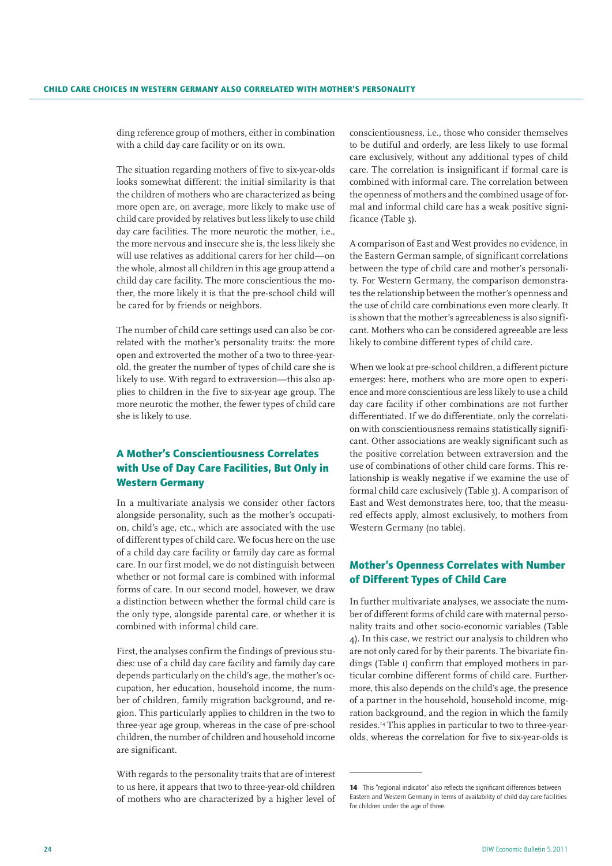ding reference group of mothers, either in combination with a child day care facility or on its own.

The situation regarding mothers of five to six-year-olds looks somewhat different: the initial similarity is that the children of mothers who are characterized as being more open are, on average, more likely to make use of child care provided by relatives but less likely to use child day care facilities. The more neurotic the mother, i.e., the more nervous and insecure she is, the less likely she will use relatives as additional carers for her child—on the whole, almost all children in this age group attend a child day care facility. The more conscientious the mother, the more likely it is that the pre-school child will be cared for by friends or neighbors.

The number of child care settings used can also be correlated with the mother's personality traits: the more open and extroverted the mother of a two to three-yearold, the greater the number of types of child care she is likely to use. With regard to extraversion—this also applies to children in the five to six-year age group. The more neurotic the mother, the fewer types of child care she is likely to use.

# A Mother's Conscientiousness Correlates with Use of Day Care Facilities, But Only in Western Germany

In a multivariate analysis we consider other factors alongside personality, such as the mother's occupation, child's age, etc., which are associated with the use of different types of child care. We focus here on the use of a child day care facility or family day care as formal care. In our first model, we do not distinguish between whether or not formal care is combined with informal forms of care. In our second model, however, we draw a distinction between whether the formal child care is the only type, alongside parental care, or whether it is combined with informal child care.

First, the analyses confirm the findings of previous studies: use of a child day care facility and family day care depends particularly on the child's age, the mother's occupation, her education, household income, the number of children, family migration background, and region. This particularly applies to children in the two to three-year age group, whereas in the case of pre-school children, the number of children and household income are significant.

With regards to the personality traits that are of interest to us here, it appears that two to three-year-old children of mothers who are characterized by a higher level of

conscientiousness, i.e., those who consider themselves to be dutiful and orderly, are less likely to use formal care exclusively, without any additional types of child care. The correlation is insignificant if formal care is combined with informal care. The correlation between the openness of mothers and the combined usage of formal and informal child care has a weak positive significance (Table 3).

A comparison of East and West provides no evidence, in the Eastern German sample, of significant correlations between the type of child care and mother's personality. For Western Germany, the comparison demonstrates the relationship between the mother's openness and the use of child care combinations even more clearly. It is shown that the mother's agreeableness is also significant. Mothers who can be considered agreeable are less likely to combine different types of child care.

When we look at pre-school children, a different picture emerges: here, mothers who are more open to experience and more conscientious are less likely to use a child day care facility if other combinations are not further differentiated. If we do differentiate, only the correlation with conscientiousness remains statistically significant. Other associations are weakly significant such as the positive correlation between extraversion and the use of combinations of other child care forms. This relationship is weakly negative if we examine the use of formal child care exclusively (Table 3). A comparison of East and West demonstrates here, too, that the measured effects apply, almost exclusively, to mothers from Western Germany (no table).

## Mother's Openness Correlates with Number of Different Types of Child Care

In further multivariate analyses, we associate the number of different forms of child care with maternal personality traits and other socio-economic variables (Table 4). In this case, we restrict our analysis to children who are not only cared for by their parents. The bivariate findings (Table 1) confirm that employed mothers in particular combine different forms of child care. Furthermore, this also depends on the child's age, the presence of a partner in the household, household income, migration background, and the region in which the family resides.14 This applies in particular to two to three-yearolds, whereas the correlation for five to six-year-olds is

<sup>14</sup> This "regional indicator" also reflects the significant differences between Eastern and Western Germany in terms of availability of child day care facilities for children under the age of three.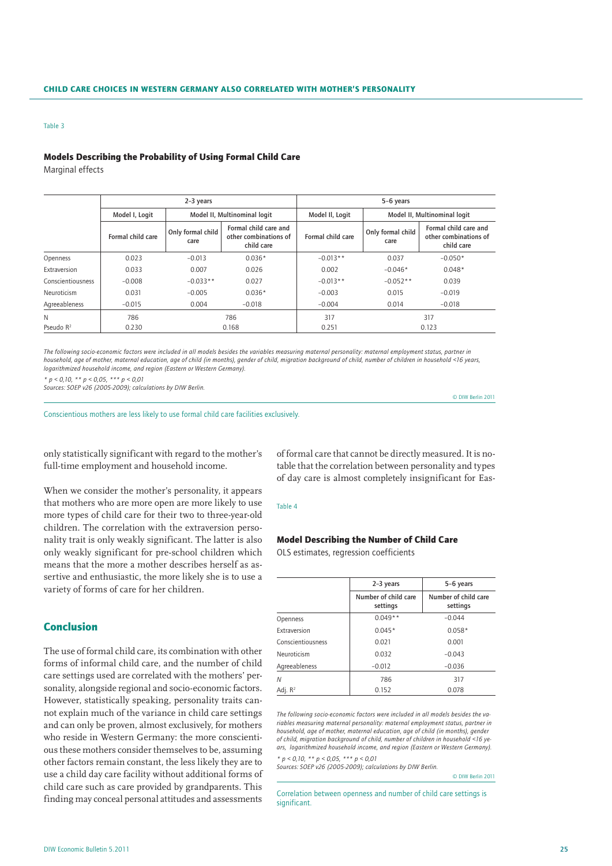#### Table 3

#### Models Describing the Probability of Using Formal Child Care

Marginal effects

|                   |                   | $2-3$ years                  |                                                              | 5-6 years         |                              |                                                              |
|-------------------|-------------------|------------------------------|--------------------------------------------------------------|-------------------|------------------------------|--------------------------------------------------------------|
|                   | Model I, Logit    | Model II, Multinominal logit |                                                              | Model II, Logit   | Model II, Multinominal logit |                                                              |
|                   | Formal child care | Only formal child<br>care    | Formal child care and<br>other combinations of<br>child care | Formal child care | Only formal child<br>care    | Formal child care and<br>other combinations of<br>child care |
| Openness          | 0.023             | $-0.013$                     | $0.036*$                                                     | $-0.013**$        | 0.037                        | $-0.050*$                                                    |
| Extraversion      | 0.033             | 0.007                        | 0.026                                                        | 0.002             | $-0.046*$                    | $0.048*$                                                     |
| Conscientiousness | $-0.008$          | $-0.033**$                   | 0.027                                                        | $-0.013**$        | $-0.052**$                   | 0.039                                                        |
| Neuroticism       | 0.031             | $-0.005$                     | $0.036*$                                                     | $-0.003$          | 0.015                        | $-0.019$                                                     |
| Agreeableness     | $-0.015$          | 0.004                        | $-0.018$                                                     | $-0.004$          | 0.014                        | $-0.018$                                                     |
| N                 | 786               |                              | 786                                                          | 317               |                              | 317                                                          |
| Pseudo $R^2$      | 0.230             | 0.168                        |                                                              | 0.251             | 0.123                        |                                                              |

*The following socio-economic factors were included in all models besides the variables measuring maternal personality: maternal employment status, partner in household, age of mother, maternal education, age of child (in months), gender of child, migration background of child, number of children in household <16 years, logarithmized household income, and region (Eastern or Western Germany).*

*\* p < 0,10, \*\* p < 0,05, \*\*\* p < 0,01*

*Sources: SOEP v26 (2005-2009); calculations by DIW Berlin.*

Conscientious mothers are less likely to use formal child care facilities exclusively.

only statistically significant with regard to the mother's full-time employment and household income.

When we consider the mother's personality, it appears that mothers who are more open are more likely to use more types of child care for their two to three-year-old children. The correlation with the extraversion personality trait is only weakly significant. The latter is also only weakly significant for pre-school children which means that the more a mother describes herself as assertive and enthusiastic, the more likely she is to use a variety of forms of care for her children.

## Conclusion

The use of formal child care, its combination with other forms of informal child care, and the number of child care settings used are correlated with the mothers' personality, alongside regional and socio-economic factors. However, statistically speaking, personality traits cannot explain much of the variance in child care settings and can only be proven, almost exclusively, for mothers who reside in Western Germany: the more conscientious these mothers consider themselves to be, assuming other factors remain constant, the less likely they are to use a child day care facility without additional forms of child care such as care provided by grandparents. This finding may conceal personal attitudes and assessments

of formal care that cannot be directly measured. It is notable that the correlation between personality and types of day care is almost completely insignificant for Eas-

#### Table 4

### Model Describing the Number of Child Care

OLS estimates, regression coefficients

|                     | 2-3 years                        | 5-6 years                        |  |  |
|---------------------|----------------------------------|----------------------------------|--|--|
|                     | Number of child care<br>settings | Number of child care<br>settings |  |  |
| Openness            | $0.049**$                        | $-0.044$                         |  |  |
| Extraversion        | $0.045*$                         | $0.058*$                         |  |  |
| Conscientiousness   | 0.021                            | 0.001                            |  |  |
| Neuroticism         | 0.032                            | $-0.043$                         |  |  |
| Agreeableness       | $-0.012$                         | $-0.036$                         |  |  |
| Ν                   | 786                              | 317                              |  |  |
| Adj. R <sup>2</sup> | 0.152                            | 0.078                            |  |  |

*The following socio-economic factors were included in all models besides the variables measuring maternal personality: maternal employment status, partner in household, age of mother, maternal education, age of child (in months), gender of child, migration background of child, number of children in household <16 years, logarithmized household income, and region (Eastern or Western Germany).* 

*\* p < 0,10, \*\* p < 0,05, \*\*\* p < 0,01*

*Sources: SOEP v26 (2005-2009); calculations by DIW Berlin.*

© DIW Berlin 2011

© DIW Berlin 2011

Correlation between openness and number of child care settings is significant.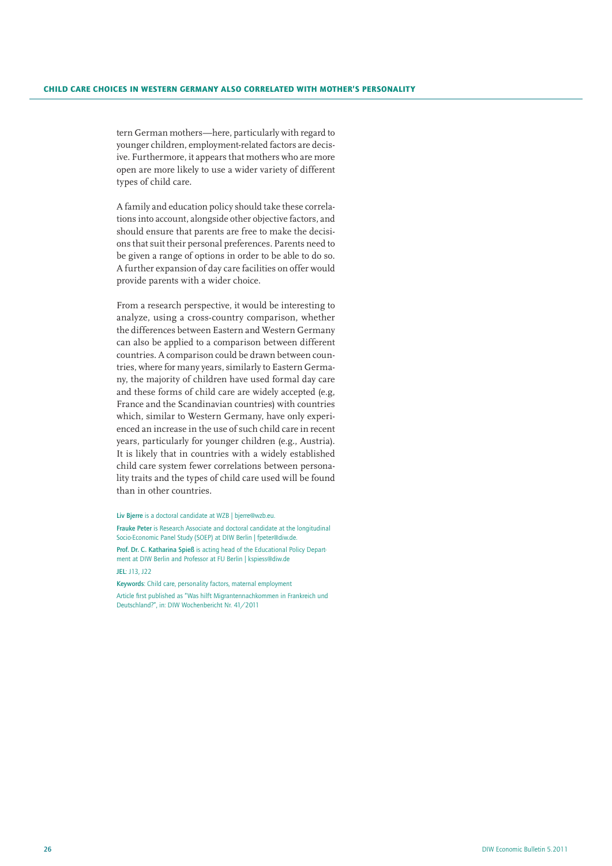tern German mothers—here, particularly with regard to younger children, employment-related factors are decisive. Furthermore, it appears that mothers who are more open are more likely to use a wider variety of different types of child care.

A family and education policy should take these correlations into account, alongside other objective factors, and should ensure that parents are free to make the decisions that suit their personal preferences. Parents need to be given a range of options in order to be able to do so. A further expansion of day care facilities on offer would provide parents with a wider choice.

From a research perspective, it would be interesting to analyze, using a cross-country comparison, whether the differences between Eastern and Western Germany can also be applied to a comparison between different countries. A comparison could be drawn between countries, where for many years, similarly to Eastern Germany, the majority of children have used formal day care and these forms of child care are widely accepted (e.g, France and the Scandinavian countries) with countries which, similar to Western Germany, have only experienced an increase in the use of such child care in recent years, particularly for younger children (e.g., Austria). It is likely that in countries with a widely established child care system fewer correlations between personality traits and the types of child care used will be found than in other countries.

Liv Bjerre is a doctoral candidate at WZB | bjerre@wzb.eu.

Frauke Peter is Research Associate and doctoral candidate at the longitudinal Socio-Economic Panel Study (SOEP) at DIW Berlin | fpeter@diw.de.

Prof. Dr. C. Katharina Spieß is acting head of the Educational Policy Department at DIW Berlin and Professor at FU Berlin | kspiess@diw.de JEL: J13, J22

Keywords: Child care, personality factors, maternal employment Article first published as "Was hilft Migrantennachkommen in Frankreich und Deutschland?", in: DIW Wochenbericht Nr. 41/2011